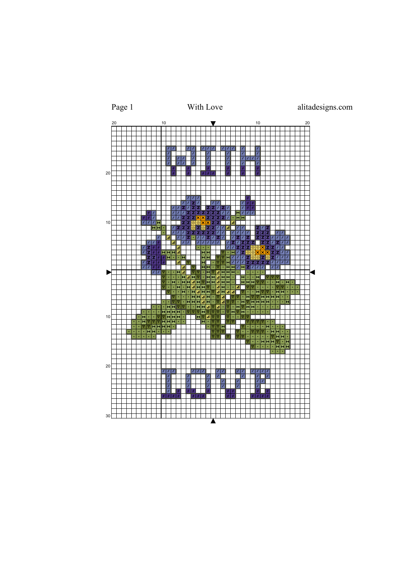